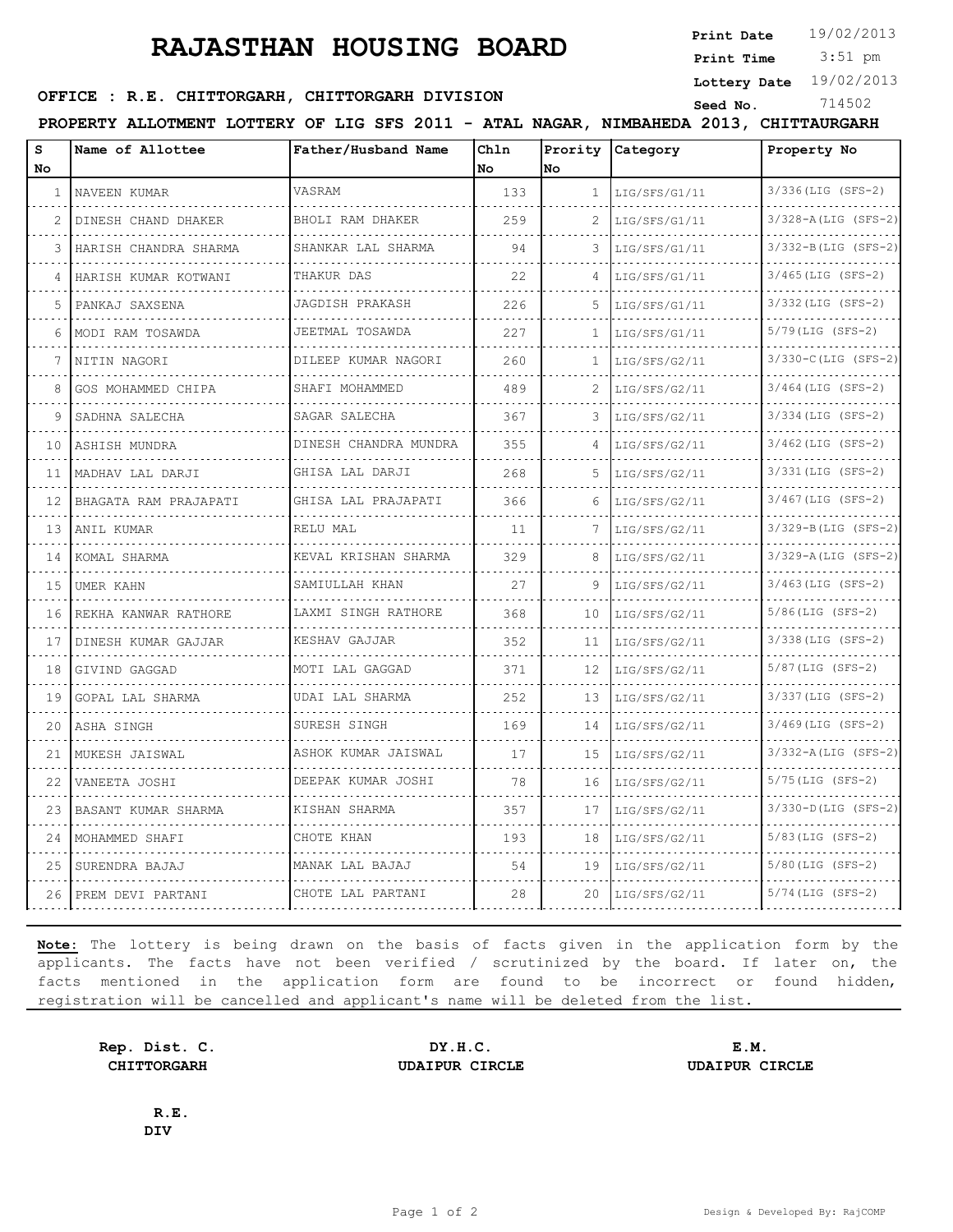## **RAJASTHAN HOUSING BOARD**

**Print Date**  $19/02/2013$ 

 3:51 pm **Print Time**

**Lottery Date** 19/02/2013

## **SEED OFFICE : R.E. CHITTORGARH, CHITTORGARH DIVISION** Seed No. 214502

**PROPERTY ALLOTMENT LOTTERY OF LIG SFS 2011 - ATAL NAGAR, NIMBAHEDA 2013, CHITTAURGARH**

| s<br>No           | Name of Allottee        | Father/Husband Name        | Chln<br>No. | No           | Prority Category | Property No                    |
|-------------------|-------------------------|----------------------------|-------------|--------------|------------------|--------------------------------|
| $\mathbf{1}$      | NAVEEN KUMAR            | VASRAM                     | 133         | $\mathbf{1}$ | LIG/SFS/G1/11    | 3/336(LIG (SFS-2)              |
| 2                 | DINESH CHAND DHAKER     | BHOLI RAM DHAKER           | 259         | 2            | LIG/SFS/G1/11    | .<br>$3/328 - A (LIG (SFS-2))$ |
| 3                 | HARISH CHANDRA SHARMA   | SHANKAR LAL SHARMA         | 94          | 3            | LIG/SFS/G1/11    | $3/332 - B(LIG (SFS-2))$       |
| 4                 | HARISH KUMAR KOTWANI    | THAKUR DAS                 | 22          | 4            | LIG/SFS/G1/11    | $3/465$ (LIG (SFS-2)           |
| 5                 | PANKAJ SAXSENA          | JAGDISH PRAKASH            | 226         | 5            | LIG/SFS/G1/11    | 3/332(LIG (SFS-2)              |
| 6                 | MODI RAM TOSAWDA        | JEETMAL TOSAWDA            | 227         | 1            | LIG/SFS/G1/11    | $5/79$ (LIG (SFS-2)            |
| 7                 | NITIN NAGORI            | .<br>DILEEP KUMAR NAGORI   | 260         | 1            | LIG/SFS/G2/11    | .<br>3/330-C (LIG (SFS-2)      |
| 8                 | GOS MOHAMMED CHIPA      | SHAFI MOHAMMED             | 489         | 2            | LIG/SFS/G2/11    | $3/464$ (LIG (SFS-2)           |
| 9                 | SADHNA SALECHA          | SAGAR SALECHA              | 367         | 3            | LIG/SFS/G2/11    | $3/334$ (LIG (SFS-2)           |
| 10                | ASHISH MUNDRA           | .<br>DINESH CHANDRA MUNDRA | 355         | 4            | LIG/SFS/G2/11    | .<br>$3/462$ (LIG (SFS-2)      |
|                   | 11 IMADHAV LAL DARJI    | GHISA LAL DARJI            | 268         | 5            | LIG/SFS/G2/11    | 3/331 (LIG (SFS-2)             |
| $12 \overline{ }$ | BHAGATA RAM PRAJAPATI   | GHISA LAL PRAJAPATI        | 366         | 6            | LIG/SFS/G2/11    | $3/467$ (LIG (SFS-2)           |
| 13                | ANIL KUMAR              | RELU MAL                   | 11          | 7            | LIG/SFS/G2/11    | $3/329 - B(LIG (SFS-2)$        |
| 14                | KOMAL SHARMA            | KEVAL KRISHAN SHARMA       | 329         | 8            | LIG/SFS/G2/11    | 3/329-A (LIG (SFS-2)           |
| 15                | UMER KAHN               | SAMIULLAH KHAN             | 27          | 9            | LIG/SFS/G2/11    | $3/463$ (LIG (SFS-2)           |
| 16                | REKHA KANWAR RATHORE    | LAXMI SINGH RATHORE        | 368         | 10           | LIG/SFS/G2/11    | $5/86$ (LIG (SFS-2)            |
| 17                | DINESH KUMAR GAJJAR     | KESHAV GAJJAR              | 352         | 11           | LIG/SFS/G2/11    | $3/338$ (LIG (SFS-2)           |
| 18                | GIVIND GAGGAD           | MOTI LAL GAGGAD            | 371         | 12           | LIG/SFS/G2/11    | $5/87$ (LIG (SFS-2)            |
| 19                | <b>GOPAL LAL SHARMA</b> | UDAI LAL SHARMA            | 252         | 13           | LIG/SFS/G2/11    | 3/337(LIG (SFS-2)              |
| 20                | ASHA SINGH              | SURESH SINGH               | 169         | 14           | LIG/SFS/G2/11    | $3/469$ (LIG (SFS-2)           |
| 21                | MUKESH JAISWAL          | ASHOK KUMAR JAISWAL<br>.   | 17          | 15           | LIG/SFS/G2/11    | $3/332 - A (LIG (SFS-2))$<br>. |
| 22                | VANEETA JOSHI           | DEEPAK KUMAR JOSHI         | 78          | 16           | LIG/SFS/G2/11    | $5/75$ (LIG (SFS-2)            |
| 23                | BASANT KUMAR SHARMA     | KISHAN SHARMA              | 357         | 17           | LIG/SFS/G2/11    | 3/330-D(LIG (SFS-2)            |
| 24                | MOHAMMED SHAFI          | CHOTE KHAN                 | 193         | 18           | LIG/SFS/G2/11    | $5/83$ (LIG (SFS-2)            |
| 25                | SURENDRA BAJAJ          | MANAK LAL BAJAJ            | 54          | 19           | LIG/SFS/G2/11    | $5/80$ (LIG (SFS-2)            |
| 26                | PREM DEVI PARTANI       | CHOTE LAL PARTANI          | 28          | 20           | LIG/SFS/G2/11    | $5/74$ (LIG (SFS-2)            |
|                   |                         |                            |             |              |                  |                                |

**Note:** The lottery is being drawn on the basis of facts given in the application form by the applicants. The facts have not been verified / scrutinized by the board. If later on, the facts mentioned in the application form are found to be incorrect or found hidden, registration will be cancelled and applicant's name will be deleted from the list.

**Rep. Dist. C. DY.H.C. E.M. CHITTORGARH UDAIPUR CIRCLE UDAIPUR CIRCLE**

**R.E. DIV**